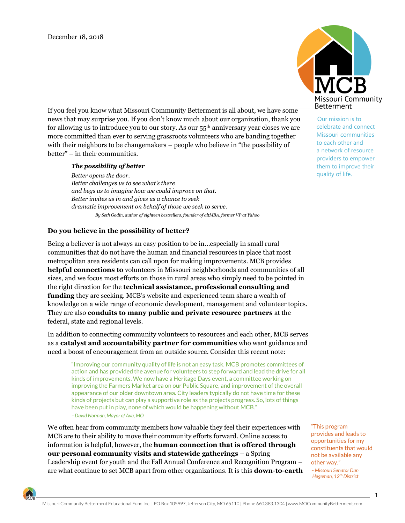Missouri Community **Betterment** 

> Our mission is to celebrate and connect Missouri communities to each other and a network of resource providers to empower them to improve their quality of life.

If you feel you know what Missouri Community Betterment is all about, we have some news that may surprise you. If you don't know much about our organization, thank you for allowing us to introduce you to our story. As our 55th anniversary year closes we are more committed than ever to serving grassroots volunteers who are banding together with their neighbors to be changemakers – people who believe in "the possibility of better" – in their communities.

## *The possibility of better*

*Better opens the door. Better challenges us to see what's there and begs us to imagine how we could improve on that. Better invites us in and gives us a chance to seek dramatic improvement on behalf of those we seek to serve. By Seth Godin, author of eighteen bestsellers, founder of altMBA, former VP at Yahoo*

## **Do you believe in the possibility of better?**

Being a believer is not always an easy position to be in…especially in small rural communities that do not have the human and financial resources in place that most metropolitan area residents can call upon for making improvements. MCB provides **helpful connections to** volunteers in Missouri neighborhoods and communities of all sizes, and we focus most efforts on those in rural areas who simply need to be pointed in the right direction for the **technical assistance, professional consulting and funding** they are seeking. MCB's website and experienced team share a wealth of knowledge on a wide range of economic development, management and volunteer topics. They are also **conduits to many public and private resource partners** at the federal, state and regional levels.

In addition to connecting community volunteers to resources and each other, MCB serves as a **catalyst and accountability partner for communities** who want guidance and need a boost of encouragement from an outside source. Consider this recent note:

"Improving our community quality of life is not an easy task. MCB promotes committees of action and has provided the avenue for volunteers to step forward and lead the drive for all kinds of improvements. We now have a Heritage Days event, a committee working on improving the Farmers Market area on our Public Square, and improvement of the overall appearance of our older downtown area. City leaders typically do not have time for these kinds of projects but can play a supportive role as the projects progress. So, lots of things have been put in play, none of which would be happening without MCB." *–David Norman, Mayor of Ava, MO*

We often hear from community members how valuable they feel their experiences with MCB are to their ability to move their community efforts forward. Online access to information is helpful, however, the **human connection that is offered through our personal community visits and statewide gatherings** – a Spring Leadership event for youth and the Fall Annual Conference and Recognition Program – are what continue to set MCB apart from other organizations. It is this **down-to-earth** 

 "This program provides and leads to opportunities for my constituents that would not be available any other way."

 *– Missouri Senator Dan Hegeman, 12th District*